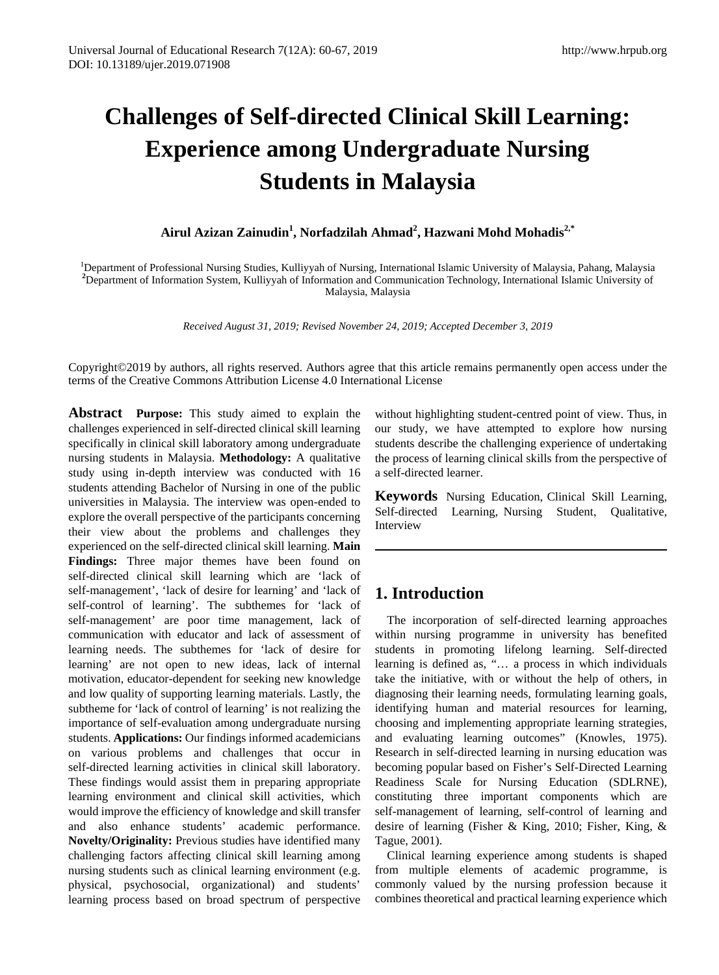# **Challenges of Self-directed Clinical Skill Learning: Experience among Undergraduate Nursing Students in Malaysia**

**Airul Azizan Zainudin<sup>1</sup> , Norfadzilah Ahmad<sup>2</sup> , Hazwani Mohd Mohadis2,\***

<sup>1</sup>Department of Professional Nursing Studies, Kulliyyah of Nursing, International Islamic University of Malaysia, Pahang, Malaysia **2** Department of Information System, Kulliyyah of Information and Communication Technology, International Islamic University of Malaysia, Malaysia

*Received August 31, 2019; Revised November 24, 2019; Accepted December 3, 2019*

Copyright©2019 by authors, all rights reserved. Authors agree that this article remains permanently open access under the terms of the Creative Commons Attribution License 4.0 International License

**Abstract****Purpose:** This study aimed to explain the challenges experienced in self-directed clinical skill learning specifically in clinical skill laboratory among undergraduate nursing students in Malaysia. **Methodology:** A qualitative study using in-depth interview was conducted with 16 students attending Bachelor of Nursing in one of the public universities in Malaysia. The interview was open-ended to explore the overall perspective of the participants concerning their view about the problems and challenges they experienced on the self-directed clinical skill learning. **Main Findings:** Three major themes have been found on self-directed clinical skill learning which are 'lack of self-management', 'lack of desire for learning' and 'lack of self-control of learning'. The subthemes for 'lack of self-management' are poor time management, lack of communication with educator and lack of assessment of learning needs. The subthemes for 'lack of desire for learning' are not open to new ideas, lack of internal motivation, educator-dependent for seeking new knowledge and low quality of supporting learning materials. Lastly, the subtheme for 'lack of control of learning' is not realizing the importance of self-evaluation among undergraduate nursing students. **Applications:** Our findings informed academicians on various problems and challenges that occur in self-directed learning activities in clinical skill laboratory. These findings would assist them in preparing appropriate learning environment and clinical skill activities, which would improve the efficiency of knowledge and skill transfer and also enhance students' academic performance. **Novelty/Originality:** Previous studies have identified many challenging factors affecting clinical skill learning among nursing students such as clinical learning environment (e.g. physical, psychosocial, organizational) and students' learning process based on broad spectrum of perspective

without highlighting student-centred point of view. Thus, in our study, we have attempted to explore how nursing students describe the challenging experience of undertaking the process of learning clinical skills from the perspective of a self-directed learner.

**Keywords** Nursing Education, Clinical Skill Learning, Self-directed Learning, Nursing Student, Qualitative, Interview

# **1. Introduction**

The incorporation of self-directed learning approaches within nursing programme in university has benefited students in promoting lifelong learning. Self-directed learning is defined as, "… a process in which individuals take the initiative, with or without the help of others, in diagnosing their learning needs, formulating learning goals, identifying human and material resources for learning, choosing and implementing appropriate learning strategies, and evaluating learning outcomes" (Knowles, 1975). Research in self-directed learning in nursing education was becoming popular based on Fisher's Self-Directed Learning Readiness Scale for Nursing Education (SDLRNE), constituting three important components which are self-management of learning, self-control of learning and desire of learning (Fisher & King, 2010; Fisher, King, & Tague, 2001).

Clinical learning experience among students is shaped from multiple elements of academic programme, is commonly valued by the nursing profession because it combines theoretical and practical learning experience which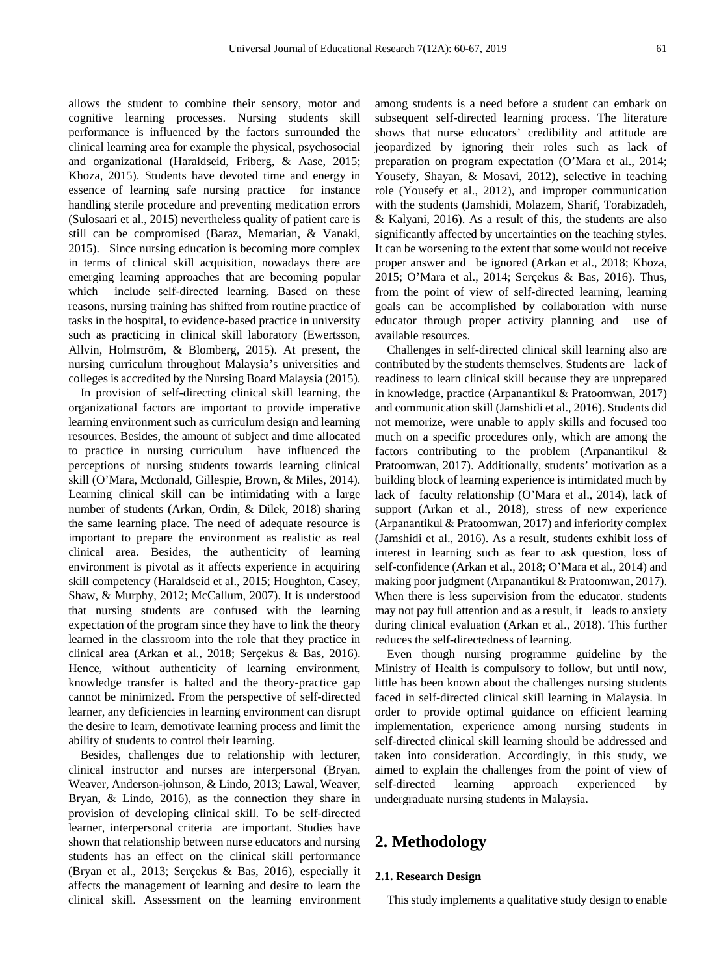allows the student to combine their sensory, motor and cognitive learning processes. Nursing students skill performance is influenced by the factors surrounded the clinical learning area for example the physical, psychosocial and organizational (Haraldseid, Friberg, & Aase, 2015; Khoza, 2015). Students have devoted time and energy in essence of learning safe nursing practice for instance handling sterile procedure and preventing medication errors (Sulosaari et al., 2015) nevertheless quality of patient care is still can be compromised (Baraz, Memarian, & Vanaki, 2015). Since nursing education is becoming more complex in terms of clinical skill acquisition, nowadays there are emerging learning approaches that are becoming popular which include self-directed learning. Based on these reasons, nursing training has shifted from routine practice of tasks in the hospital, to evidence-based practice in university such as practicing in clinical skill laboratory (Ewertsson, Allvin, Holmström, & Blomberg, 2015). At present, the nursing curriculum throughout Malaysia's universities and colleges is accredited by the Nursing Board Malaysia (2015).

In provision of self-directing clinical skill learning, the organizational factors are important to provide imperative learning environment such as curriculum design and learning resources. Besides, the amount of subject and time allocated to practice in nursing curriculum have influenced the perceptions of nursing students towards learning clinical skill (O'Mara, Mcdonald, Gillespie, Brown, & Miles, 2014). Learning clinical skill can be intimidating with a large number of students (Arkan, Ordin, & Dilek, 2018) sharing the same learning place. The need of adequate resource is important to prepare the environment as realistic as real clinical area. Besides, the authenticity of learning environment is pivotal as it affects experience in acquiring skill competency (Haraldseid et al., 2015; Houghton, Casey, Shaw, & Murphy, 2012; McCallum, 2007). It is understood that nursing students are confused with the learning expectation of the program since they have to link the theory learned in the classroom into the role that they practice in clinical area (Arkan et al., 2018; Serçekus & Bas, 2016). Hence, without authenticity of learning environment, knowledge transfer is halted and the theory-practice gap cannot be minimized. From the perspective of self-directed learner, any deficiencies in learning environment can disrupt the desire to learn, demotivate learning process and limit the ability of students to control their learning.

Besides, challenges due to relationship with lecturer, clinical instructor and nurses are interpersonal (Bryan, Weaver, Anderson-johnson, & Lindo, 2013; Lawal, Weaver, Bryan, & Lindo, 2016), as the connection they share in provision of developing clinical skill. To be self-directed learner, interpersonal criteria are important. Studies have shown that relationship between nurse educators and nursing students has an effect on the clinical skill performance (Bryan et al., 2013; Serçekus & Bas, 2016), especially it affects the management of learning and desire to learn the clinical skill. Assessment on the learning environment among students is a need before a student can embark on subsequent self-directed learning process. The literature shows that nurse educators' credibility and attitude are jeopardized by ignoring their roles such as lack of preparation on program expectation (O'Mara et al., 2014; Yousefy, Shayan, & Mosavi, 2012), selective in teaching role (Yousefy et al., 2012), and improper communication with the students (Jamshidi, Molazem, Sharif, Torabizadeh, & Kalyani, 2016). As a result of this, the students are also significantly affected by uncertainties on the teaching styles. It can be worsening to the extent that some would not receive proper answer and be ignored (Arkan et al., 2018; Khoza, 2015; O'Mara et al., 2014; Serçekus & Bas, 2016). Thus, from the point of view of self-directed learning, learning goals can be accomplished by collaboration with nurse educator through proper activity planning and use of available resources.

Challenges in self-directed clinical skill learning also are contributed by the students themselves. Students are lack of readiness to learn clinical skill because they are unprepared in knowledge, practice (Arpanantikul & Pratoomwan, 2017) and communication skill (Jamshidi et al., 2016). Students did not memorize, were unable to apply skills and focused too much on a specific procedures only, which are among the factors contributing to the problem (Arpanantikul & Pratoomwan, 2017). Additionally, students' motivation as a building block of learning experience is intimidated much by lack of faculty relationship (O'Mara et al., 2014), lack of support (Arkan et al., 2018), stress of new experience (Arpanantikul & Pratoomwan, 2017) and inferiority complex (Jamshidi et al., 2016). As a result, students exhibit loss of interest in learning such as fear to ask question, loss of self-confidence (Arkan et al., 2018; O'Mara et al., 2014) and making poor judgment (Arpanantikul & Pratoomwan, 2017). When there is less supervision from the educator. students may not pay full attention and as a result, it leads to anxiety during clinical evaluation (Arkan et al., 2018). This further reduces the self-directedness of learning.

Even though nursing programme guideline by the Ministry of Health is compulsory to follow, but until now, little has been known about the challenges nursing students faced in self-directed clinical skill learning in Malaysia. In order to provide optimal guidance on efficient learning implementation, experience among nursing students in self-directed clinical skill learning should be addressed and taken into consideration. Accordingly, in this study, we aimed to explain the challenges from the point of view of self-directed learning approach experienced by undergraduate nursing students in Malaysia.

# **2. Methodology**

#### **2.1. Research Design**

This study implements a qualitative study design to enable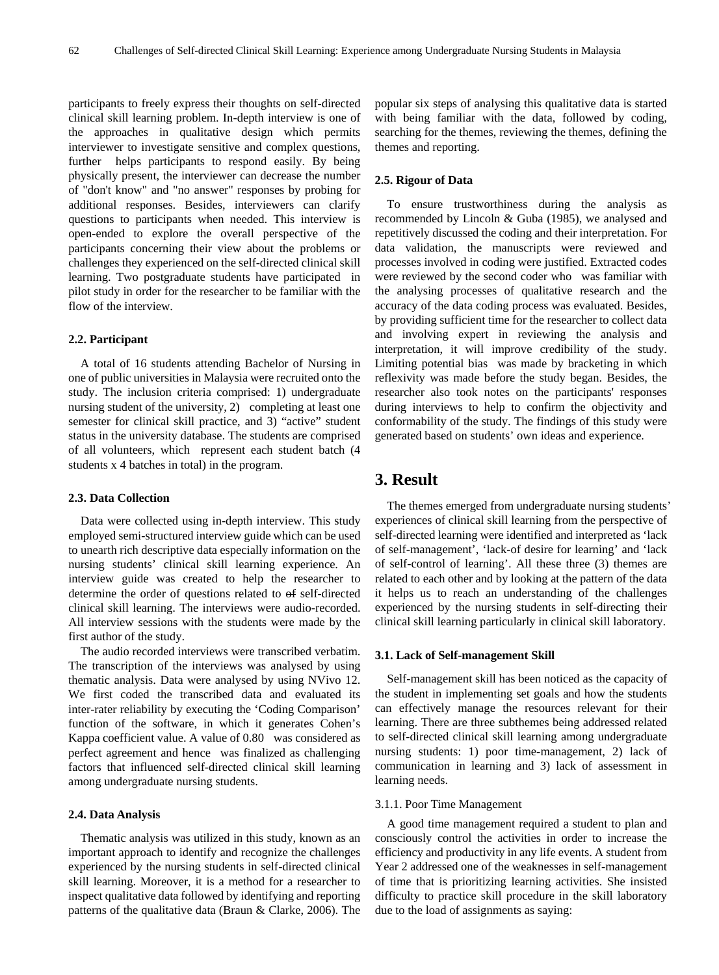participants to freely express their thoughts on self-directed clinical skill learning problem. In-depth interview is one of the approaches in qualitative design which permits interviewer to investigate sensitive and complex questions, further helps participants to respond easily. By being physically present, the interviewer can decrease the number of "don't know" and "no answer" responses by probing for additional responses. Besides, interviewers can clarify questions to participants when needed. This interview is open-ended to explore the overall perspective of the participants concerning their view about the problems or challenges they experienced on the self-directed clinical skill learning. Two postgraduate students have participated in pilot study in order for the researcher to be familiar with the flow of the interview.

#### **2.2. Participant**

A total of 16 students attending Bachelor of Nursing in one of public universities in Malaysia were recruited onto the study. The inclusion criteria comprised: 1) undergraduate nursing student of the university, 2) completing at least one semester for clinical skill practice, and 3) "active" student status in the university database. The students are comprised of all volunteers, which represent each student batch (4 students x 4 batches in total) in the program.

#### **2.3. Data Collection**

Data were collected using in-depth interview. This study employed semi-structured interview guide which can be used to unearth rich descriptive data especially information on the nursing students' clinical skill learning experience. An interview guide was created to help the researcher to determine the order of questions related to of self-directed clinical skill learning. The interviews were audio-recorded. All interview sessions with the students were made by the first author of the study.

The audio recorded interviews were transcribed verbatim. The transcription of the interviews was analysed by using thematic analysis. Data were analysed by using NVivo 12. We first coded the transcribed data and evaluated its inter-rater reliability by executing the 'Coding Comparison' function of the software, in which it generates Cohen's Kappa coefficient value. A value of 0.80 was considered as perfect agreement and hence was finalized as challenging factors that influenced self-directed clinical skill learning among undergraduate nursing students.

#### **2.4. Data Analysis**

Thematic analysis was utilized in this study, known as an important approach to identify and recognize the challenges experienced by the nursing students in self-directed clinical skill learning. Moreover, it is a method for a researcher to inspect qualitative data followed by identifying and reporting patterns of the qualitative data (Braun & Clarke, 2006). The popular six steps of analysing this qualitative data is started with being familiar with the data, followed by coding, searching for the themes, reviewing the themes, defining the themes and reporting.

#### **2.5. Rigour of Data**

To ensure trustworthiness during the analysis as recommended by Lincoln & Guba (1985), we analysed and repetitively discussed the coding and their interpretation. For data validation, the manuscripts were reviewed and processes involved in coding were justified. Extracted codes were reviewed by the second coder who was familiar with the analysing processes of qualitative research and the accuracy of the data coding process was evaluated. Besides, by providing sufficient time for the researcher to collect data and involving expert in reviewing the analysis and interpretation, it will improve credibility of the study. Limiting potential bias was made by bracketing in which reflexivity was made before the study began. Besides, the researcher also took notes on the participants' responses during interviews to help to confirm the objectivity and conformability of the study. The findings of this study were generated based on students' own ideas and experience.

# **3. Result**

The themes emerged from undergraduate nursing students' experiences of clinical skill learning from the perspective of self-directed learning were identified and interpreted as 'lack of self-management', 'lack-of desire for learning' and 'lack of self-control of learning'. All these three (3) themes are related to each other and by looking at the pattern of the data it helps us to reach an understanding of the challenges experienced by the nursing students in self-directing their clinical skill learning particularly in clinical skill laboratory.

#### **3.1. Lack of Self-management Skill**

Self-management skill has been noticed as the capacity of the student in implementing set goals and how the students can effectively manage the resources relevant for their learning. There are three subthemes being addressed related to self-directed clinical skill learning among undergraduate nursing students: 1) poor time-management, 2) lack of communication in learning and 3) lack of assessment in learning needs.

#### 3.1.1. Poor Time Management

A good time management required a student to plan and consciously control the activities in order to increase the efficiency and productivity in any life events. A student from Year 2 addressed one of the weaknesses in self-management of time that is prioritizing learning activities. She insisted difficulty to practice skill procedure in the skill laboratory due to the load of assignments as saying: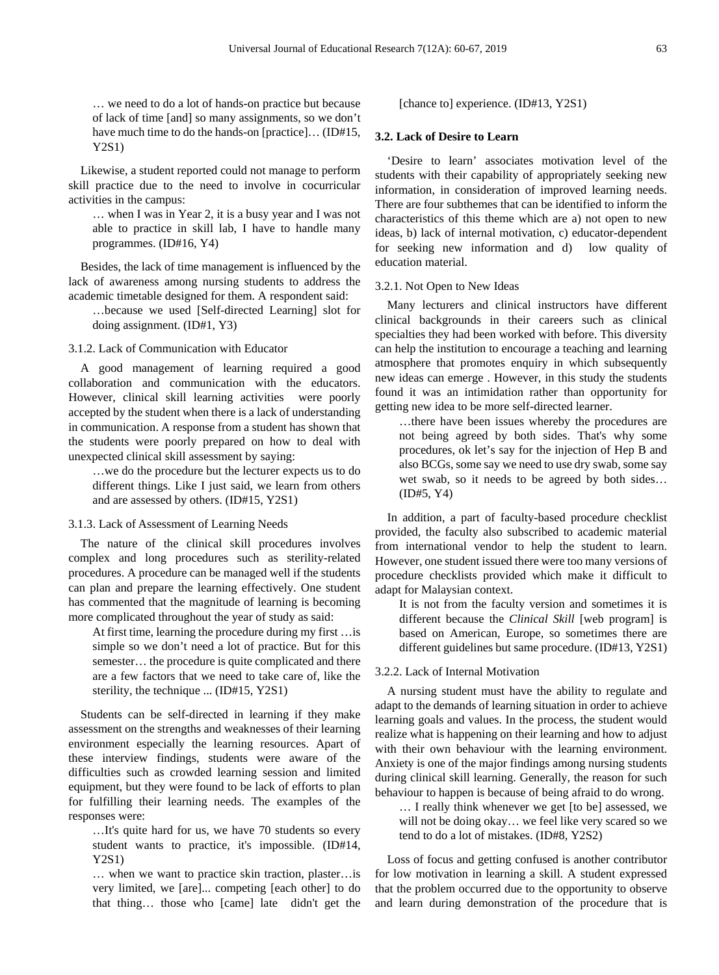… we need to do a lot of hands-on practice but because of lack of time [and] so many assignments, so we don't have much time to do the hands-on [practice]... (ID#15, Y2S1)

Likewise, a student reported could not manage to perform skill practice due to the need to involve in cocurricular activities in the campus:

… when I was in Year 2, it is a busy year and I was not able to practice in skill lab, I have to handle many programmes. (ID#16, Y4)

Besides, the lack of time management is influenced by the lack of awareness among nursing students to address the academic timetable designed for them. A respondent said:

…because we used [Self-directed Learning] slot for doing assignment. (ID#1, Y3)

3.1.2. Lack of Communication with Educator

A good management of learning required a good collaboration and communication with the educators. However, clinical skill learning activities were poorly accepted by the student when there is a lack of understanding in communication. A response from a student has shown that the students were poorly prepared on how to deal with unexpected clinical skill assessment by saying:

…we do the procedure but the lecturer expects us to do different things. Like I just said, we learn from others and are assessed by others. (ID#15, Y2S1)

3.1.3. Lack of Assessment of Learning Needs

The nature of the clinical skill procedures involves complex and long procedures such as sterility-related procedures. A procedure can be managed well if the students can plan and prepare the learning effectively. One student has commented that the magnitude of learning is becoming more complicated throughout the year of study as said:

At first time, learning the procedure during my first …is simple so we don't need a lot of practice. But for this semester… the procedure is quite complicated and there are a few factors that we need to take care of, like the sterility, the technique ... (ID#15, Y2S1)

Students can be self-directed in learning if they make assessment on the strengths and weaknesses of their learning environment especially the learning resources. Apart of these interview findings, students were aware of the difficulties such as crowded learning session and limited equipment, but they were found to be lack of efforts to plan for fulfilling their learning needs. The examples of the responses were:

…It's quite hard for us, we have 70 students so every student wants to practice, it's impossible. (ID#14, Y2S1)

… when we want to practice skin traction, plaster…is very limited, we [are]... competing [each other] to do that thing… those who [came] late didn't get the

[chance to] experience. (ID#13, Y2S1)

#### **3.2. Lack of Desire to Learn**

'Desire to learn' associates motivation level of the students with their capability of appropriately seeking new information, in consideration of improved learning needs. There are four subthemes that can be identified to inform the characteristics of this theme which are a) not open to new ideas, b) lack of internal motivation, c) educator-dependent for seeking new information and d) low quality of education material.

#### 3.2.1. Not Open to New Ideas

Many lecturers and clinical instructors have different clinical backgrounds in their careers such as clinical specialties they had been worked with before. This diversity can help the institution to encourage a teaching and learning atmosphere that promotes enquiry in which subsequently new ideas can emerge . However, in this study the students found it was an intimidation rather than opportunity for getting new idea to be more self-directed learner.

…there have been issues whereby the procedures are not being agreed by both sides. That's why some procedures, ok let's say for the injection of Hep B and also BCGs, some say we need to use dry swab, some say wet swab, so it needs to be agreed by both sides… (ID#5, Y4)

In addition, a part of faculty-based procedure checklist provided, the faculty also subscribed to academic material from international vendor to help the student to learn. However, one student issued there were too many versions of procedure checklists provided which make it difficult to adapt for Malaysian context.

It is not from the faculty version and sometimes it is different because the *Clinical Skill* [web program] is based on American, Europe, so sometimes there are different guidelines but same procedure. (ID#13, Y2S1)

#### 3.2.2. Lack of Internal Motivation

A nursing student must have the ability to regulate and adapt to the demands of learning situation in order to achieve learning goals and values. In the process, the student would realize what is happening on their learning and how to adjust with their own behaviour with the learning environment. Anxiety is one of the major findings among nursing students during clinical skill learning. Generally, the reason for such behaviour to happen is because of being afraid to do wrong.

… I really think whenever we get [to be] assessed, we will not be doing okay… we feel like very scared so we tend to do a lot of mistakes. (ID#8, Y2S2)

Loss of focus and getting confused is another contributor for low motivation in learning a skill. A student expressed that the problem occurred due to the opportunity to observe and learn during demonstration of the procedure that is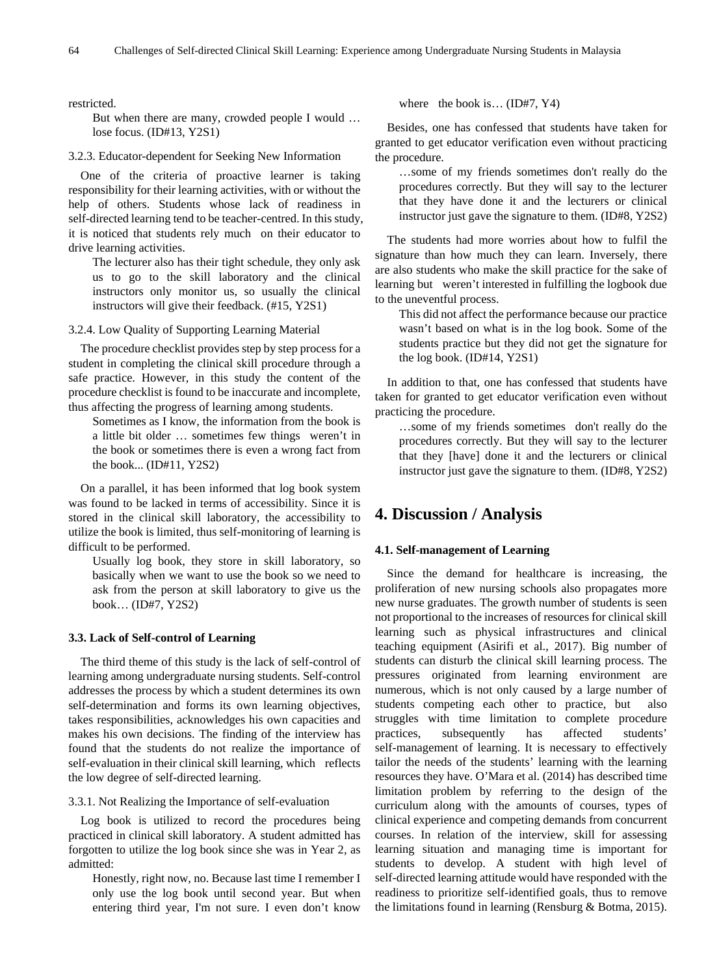restricted.

But when there are many, crowded people I would … lose focus. (ID#13, Y2S1)

#### 3.2.3. Educator-dependent for Seeking New Information

One of the criteria of proactive learner is taking responsibility for their learning activities, with or without the help of others. Students whose lack of readiness in self-directed learning tend to be teacher-centred. In this study, it is noticed that students rely much on their educator to drive learning activities.

The lecturer also has their tight schedule, they only ask us to go to the skill laboratory and the clinical instructors only monitor us, so usually the clinical instructors will give their feedback. (#15, Y2S1)

3.2.4. Low Quality of Supporting Learning Material

The procedure checklist provides step by step process for a student in completing the clinical skill procedure through a safe practice. However, in this study the content of the procedure checklist is found to be inaccurate and incomplete, thus affecting the progress of learning among students.

Sometimes as I know, the information from the book is a little bit older … sometimes few things weren't in the book or sometimes there is even a wrong fact from the book... (ID#11, Y2S2)

On a parallel, it has been informed that log book system was found to be lacked in terms of accessibility. Since it is stored in the clinical skill laboratory, the accessibility to utilize the book is limited, thus self-monitoring of learning is difficult to be performed.

Usually log book, they store in skill laboratory, so basically when we want to use the book so we need to ask from the person at skill laboratory to give us the book… (ID#7, Y2S2)

#### **3.3. Lack of Self-control of Learning**

The third theme of this study is the lack of self-control of learning among undergraduate nursing students. Self-control addresses the process by which a student determines its own self-determination and forms its own learning objectives, takes responsibilities, acknowledges his own capacities and makes his own decisions. The finding of the interview has found that the students do not realize the importance of self-evaluation in their clinical skill learning, which reflects the low degree of self-directed learning.

3.3.1. Not Realizing the Importance of self-evaluation

Log book is utilized to record the procedures being practiced in clinical skill laboratory. A student admitted has forgotten to utilize the log book since she was in Year 2, as admitted:

Honestly, right now, no. Because last time I remember I only use the log book until second year. But when entering third year, I'm not sure. I even don't know

where the book is... (ID#7, Y4)

Besides, one has confessed that students have taken for granted to get educator verification even without practicing the procedure.

…some of my friends sometimes don't really do the procedures correctly. But they will say to the lecturer that they have done it and the lecturers or clinical instructor just gave the signature to them. (ID#8, Y2S2)

The students had more worries about how to fulfil the signature than how much they can learn. Inversely, there are also students who make the skill practice for the sake of learning but weren't interested in fulfilling the logbook due to the uneventful process.

This did not affect the performance because our practice wasn't based on what is in the log book. Some of the students practice but they did not get the signature for the log book. (ID#14, Y2S1)

In addition to that, one has confessed that students have taken for granted to get educator verification even without practicing the procedure.

…some of my friends sometimes don't really do the procedures correctly. But they will say to the lecturer that they [have] done it and the lecturers or clinical instructor just gave the signature to them. (ID#8, Y2S2)

### **4. Discussion / Analysis**

#### **4.1. Self-management of Learning**

Since the demand for healthcare is increasing, the proliferation of new nursing schools also propagates more new nurse graduates. The growth number of students is seen not proportional to the increases of resources for clinical skill learning such as physical infrastructures and clinical teaching equipment (Asirifi et al., 2017). Big number of students can disturb the clinical skill learning process. The pressures originated from learning environment are numerous, which is not only caused by a large number of students competing each other to practice, but also struggles with time limitation to complete procedure practices, subsequently has affected students' self-management of learning. It is necessary to effectively tailor the needs of the students' learning with the learning resources they have. O'Mara et al. (2014) has described time limitation problem by referring to the design of the curriculum along with the amounts of courses, types of clinical experience and competing demands from concurrent courses. In relation of the interview, skill for assessing learning situation and managing time is important for students to develop. A student with high level of self-directed learning attitude would have responded with the readiness to prioritize self-identified goals, thus to remove the limitations found in learning (Rensburg & Botma, 2015).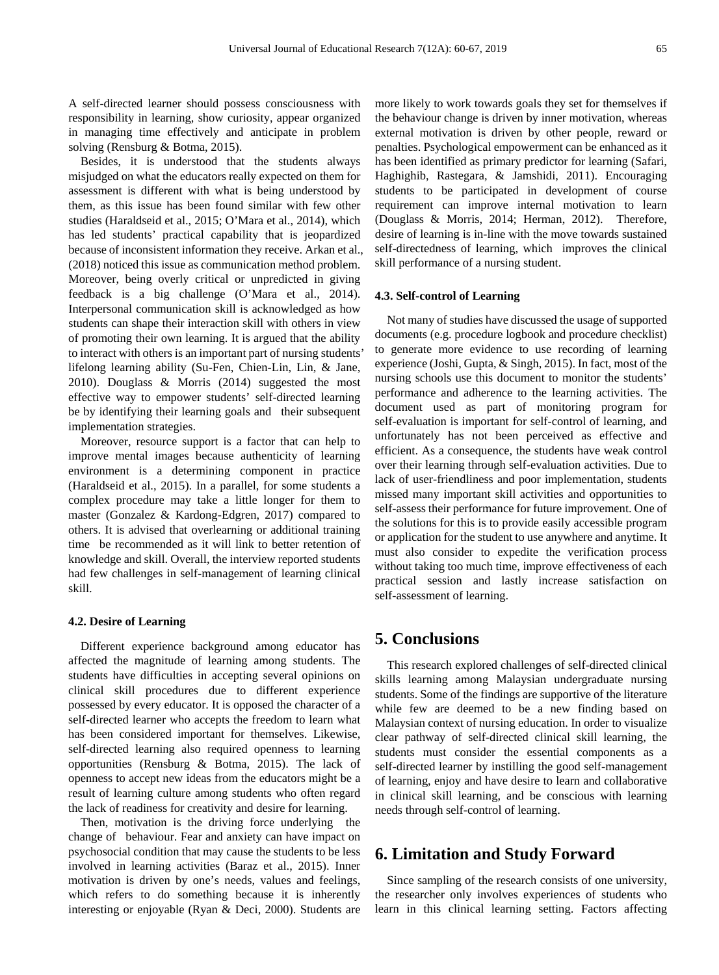A self-directed learner should possess consciousness with responsibility in learning, show curiosity, appear organized in managing time effectively and anticipate in problem solving (Rensburg & Botma, 2015).

Besides, it is understood that the students always misjudged on what the educators really expected on them for assessment is different with what is being understood by them, as this issue has been found similar with few other studies (Haraldseid et al., 2015; O'Mara et al., 2014), which has led students' practical capability that is jeopardized because of inconsistent information they receive. Arkan et al., (2018) noticed this issue as communication method problem. Moreover, being overly critical or unpredicted in giving feedback is a big challenge (O'Mara et al., 2014). Interpersonal communication skill is acknowledged as how students can shape their interaction skill with others in view of promoting their own learning. It is argued that the ability to interact with others is an important part of nursing students' lifelong learning ability (Su-Fen, Chien-Lin, Lin, & Jane, 2010). Douglass & Morris (2014) suggested the most effective way to empower students' self-directed learning be by identifying their learning goals and their subsequent implementation strategies.

Moreover, resource support is a factor that can help to improve mental images because authenticity of learning environment is a determining component in practice (Haraldseid et al., 2015). In a parallel, for some students a complex procedure may take a little longer for them to master (Gonzalez & Kardong-Edgren, 2017) compared to others. It is advised that overlearning or additional training time be recommended as it will link to better retention of knowledge and skill. Overall, the interview reported students had few challenges in self-management of learning clinical skill.

#### **4.2. Desire of Learning**

Different experience background among educator has affected the magnitude of learning among students. The students have difficulties in accepting several opinions on clinical skill procedures due to different experience possessed by every educator. It is opposed the character of a self-directed learner who accepts the freedom to learn what has been considered important for themselves. Likewise, self-directed learning also required openness to learning opportunities (Rensburg & Botma, 2015). The lack of openness to accept new ideas from the educators might be a result of learning culture among students who often regard the lack of readiness for creativity and desire for learning.

Then, motivation is the driving force underlying the change of behaviour. Fear and anxiety can have impact on psychosocial condition that may cause the students to be less involved in learning activities (Baraz et al., 2015). Inner motivation is driven by one's needs, values and feelings, which refers to do something because it is inherently interesting or enjoyable (Ryan & Deci, 2000). Students are more likely to work towards goals they set for themselves if the behaviour change is driven by inner motivation, whereas external motivation is driven by other people, reward or penalties. Psychological empowerment can be enhanced as it has been identified as primary predictor for learning (Safari, Haghighib, Rastegara, & Jamshidi, 2011). Encouraging students to be participated in development of course requirement can improve internal motivation to learn (Douglass & Morris, 2014; Herman, 2012). Therefore, desire of learning is in-line with the move towards sustained self-directedness of learning, which improves the clinical skill performance of a nursing student.

#### **4.3. Self-control of Learning**

Not many of studies have discussed the usage of supported documents (e.g. procedure logbook and procedure checklist) to generate more evidence to use recording of learning experience (Joshi, Gupta, & Singh, 2015). In fact, most of the nursing schools use this document to monitor the students' performance and adherence to the learning activities. The document used as part of monitoring program for self-evaluation is important for self-control of learning, and unfortunately has not been perceived as effective and efficient. As a consequence, the students have weak control over their learning through self-evaluation activities. Due to lack of user-friendliness and poor implementation, students missed many important skill activities and opportunities to self-assess their performance for future improvement. One of the solutions for this is to provide easily accessible program or application for the student to use anywhere and anytime. It must also consider to expedite the verification process without taking too much time, improve effectiveness of each practical session and lastly increase satisfaction on self-assessment of learning.

# **5. Conclusions**

This research explored challenges of self-directed clinical skills learning among Malaysian undergraduate nursing students. Some of the findings are supportive of the literature while few are deemed to be a new finding based on Malaysian context of nursing education. In order to visualize clear pathway of self-directed clinical skill learning, the students must consider the essential components as a self-directed learner by instilling the good self-management of learning, enjoy and have desire to learn and collaborative in clinical skill learning, and be conscious with learning needs through self-control of learning.

# **6. Limitation and Study Forward**

Since sampling of the research consists of one university, the researcher only involves experiences of students who learn in this clinical learning setting. Factors affecting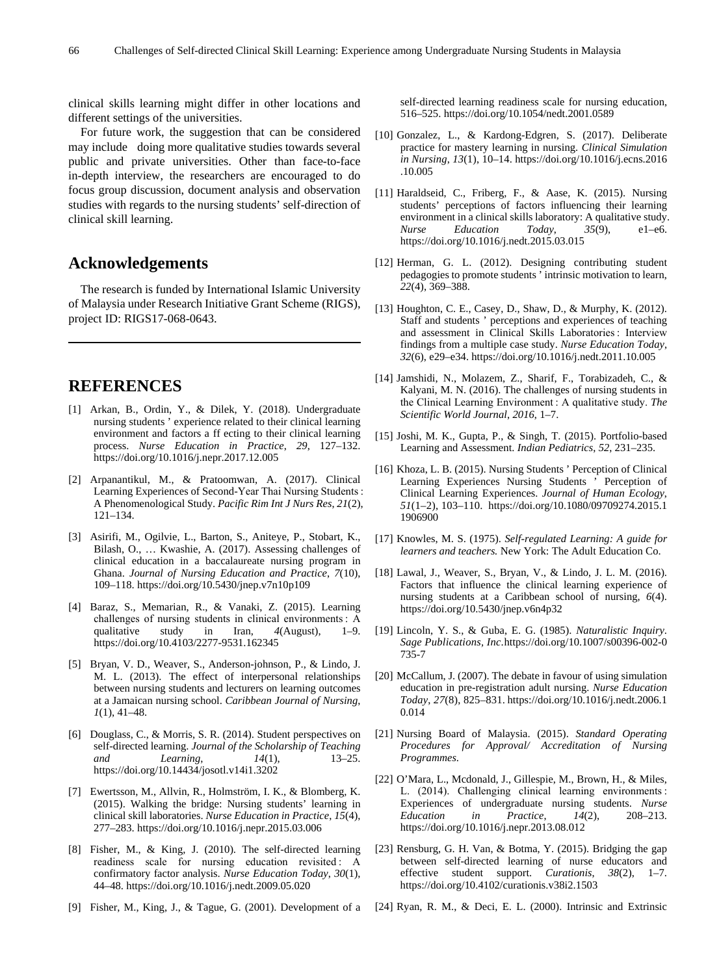clinical skills learning might differ in other locations and different settings of the universities.

For future work, the suggestion that can be considered may include doing more qualitative studies towards several public and private universities. Other than face-to-face in-depth interview, the researchers are encouraged to do focus group discussion, document analysis and observation studies with regards to the nursing students' self-direction of clinical skill learning.

# **Acknowledgements**

The research is funded by International Islamic University of Malaysia under Research Initiative Grant Scheme (RIGS), project ID: RIGS17-068-0643.

# **REFERENCES**

- [1] Arkan, B., Ordin, Y., & Dilek, Y. (2018). Undergraduate nursing students ' experience related to their clinical learning environment and factors a ff ecting to their clinical learning process. *Nurse Education in Practice*, *29*, 127–132. https://doi.org/10.1016/j.nepr.2017.12.005
- [2] Arpanantikul, M., & Pratoomwan, A. (2017). Clinical Learning Experiences of Second-Year Thai Nursing Students : A Phenomenological Study. *Pacific Rim Int J Nurs Res*, *21*(2), 121–134.
- [3] Asirifi, M., Ogilvie, L., Barton, S., Aniteye, P., Stobart, K., Bilash, O., … Kwashie, A. (2017). Assessing challenges of clinical education in a baccalaureate nursing program in Ghana. *Journal of Nursing Education and Practice*, *7*(10), 109–118. https://doi.org/10.5430/jnep.v7n10p109
- [4] Baraz, S., Memarian, R., & Vanaki, Z. (2015). Learning challenges of nursing students in clinical environments: A qualitative study in Iran,  $4(August)$ , 1–9. qualitative study in Iran, *4*(August), 1–9. https://doi.org/10.4103/2277-9531.162345
- [5] Bryan, V. D., Weaver, S., Anderson-johnson, P., & Lindo, J. M. L. (2013). The effect of interpersonal relationships between nursing students and lecturers on learning outcomes at a Jamaican nursing school. *Caribbean Journal of Nursing*, *1*(1), 41–48.
- [6] Douglass, C., & Morris, S. R. (2014). Student perspectives on self-directed learning. *Journal of the Scholarship of Teaching Learning*, *14*(1), https://doi.org/10.14434/josotl.v14i1.3202
- [7] Ewertsson, M., Allvin, R., Holmström, I. K., & Blomberg, K. (2015). Walking the bridge: Nursing students' learning in clinical skill laboratories. *Nurse Education in Practice*, *15*(4), 277–283. https://doi.org/10.1016/j.nepr.2015.03.006
- [8] Fisher, M., & King, J. (2010). The self-directed learning readiness scale for nursing education revisited : A confirmatory factor analysis. *Nurse Education Today*, *30*(1), 44–48. https://doi.org/10.1016/j.nedt.2009.05.020
- [9] Fisher, M., King, J., & Tague, G. (2001). Development of a

self-directed learning readiness scale for nursing education, 516–525. https://doi.org/10.1054/nedt.2001.0589

- [10] Gonzalez, L., & Kardong-Edgren, S. (2017). Deliberate practice for mastery learning in nursing. *Clinical Simulation in Nursing*, *13*(1), 10–14. https://doi.org/10.1016/j.ecns.2016 .10.005
- [11] Haraldseid, C., Friberg, F., & Aase, K. (2015). Nursing students' perceptions of factors influencing their learning environment in a clinical skills laboratory: A qualitative study. *Nurse Education Today*, *35*(9), e1–e6. https://doi.org/10.1016/j.nedt.2015.03.015
- [12] Herman, G. L. (2012). Designing contributing student pedagogies to promote students ' intrinsic motivation to learn, *22*(4), 369–388.
- [13] Houghton, C. E., Casey, D., Shaw, D., & Murphy, K. (2012). Staff and students ' perceptions and experiences of teaching and assessment in Clinical Skills Laboratories : Interview findings from a multiple case study. *Nurse Education Today*, *32*(6), e29–e34. https://doi.org/10.1016/j.nedt.2011.10.005
- [14] Jamshidi, N., Molazem, Z., Sharif, F., Torabizadeh, C., & Kalyani, M. N. (2016). The challenges of nursing students in the Clinical Learning Environment : A qualitative study. *The Scientific World Journal*, *2016*, 1–7.
- [15] Joshi, M. K., Gupta, P., & Singh, T. (2015). Portfolio-based Learning and Assessment. *Indian Pediatrics*, *52*, 231–235.
- [16] Khoza, L. B. (2015). Nursing Students ' Perception of Clinical Learning Experiences Nursing Students ' Perception of Clinical Learning Experiences. *Journal of Human Ecology*, *51*(1–2), 103–110. https://doi.org/10.1080/09709274.2015.1 1906900
- [17] Knowles, M. S. (1975). *Self-regulated Learning: A guide for learners and teachers.* New York: The Adult Education Co.
- [18] Lawal, J., Weaver, S., Bryan, V., & Lindo, J. L. M. (2016). Factors that influence the clinical learning experience of nursing students at a Caribbean school of nursing, *6*(4). https://doi.org/10.5430/jnep.v6n4p32
- [19] Lincoln, Y. S., & Guba, E. G. (1985). *Naturalistic Inquiry*. *Sage Publications, Inc*.https://doi.org/10.1007/s00396-002-0 735-7
- [20] McCallum, J. (2007). The debate in favour of using simulation education in pre-registration adult nursing. *Nurse Education Today*, *27*(8), 825–831. https://doi.org/10.1016/j.nedt.2006.1 0.014
- [21] Nursing Board of Malaysia. (2015). *Standard Operating Procedures for Approval/ Accreditation of Nursing Programmes*.
- [22] O'Mara, L., Mcdonald, J., Gillespie, M., Brown, H., & Miles, L. (2014). Challenging clinical learning environments : Experiences of undergraduate nursing students. *Nurse Education in Practice*, *14*(2), 208–213. https://doi.org/10.1016/j.nepr.2013.08.012
- [23] Rensburg, G. H. Van, & Botma, Y. (2015). Bridging the gap between self-directed learning of nurse educators and effective student support. *Curationis*, *38*(2), 1–7. https://doi.org/10.4102/curationis.v38i2.1503
- [24] Ryan, R. M., & Deci, E. L. (2000). Intrinsic and Extrinsic